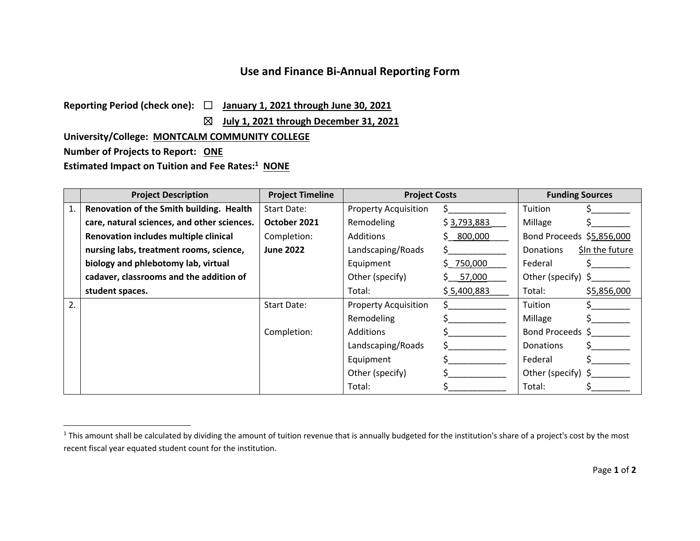## **Use and Finance Bi‐Annual Reporting Form**

**Reporting Period (check one):** ☐ **January 1, 2021 through June 30, 2021**

☒ **July 1, 2021 through December 31, 2021**

**University/College: MONTCALM COMMUNITY COLLEGE**

**Number of Projects to Report: ONE**

**Estimated Impact on Tuition and Fee Rates:<sup>1</sup> NONE**

|    | <b>Project Description</b>                  | <b>Project Timeline</b> | <b>Project Costs</b>        |             | <b>Funding Sources</b>    |                 |
|----|---------------------------------------------|-------------------------|-----------------------------|-------------|---------------------------|-----------------|
| 1. | Renovation of the Smith building. Health    | Start Date:             | <b>Property Acquisition</b> |             | Tuition                   |                 |
|    | care, natural sciences, and other sciences. | October 2021            | Remodeling                  | \$3,793,883 | Millage                   |                 |
|    | Renovation includes multiple clinical       | Completion:             | Additions                   | 800,000     | Bond Proceeds \$5,856,000 |                 |
|    | nursing labs, treatment rooms, science,     | <b>June 2022</b>        | Landscaping/Roads           |             | <b>Donations</b>          | \$In the future |
|    | biology and phlebotomy lab, virtual         |                         | Equipment                   | \$750,000   | Federal                   |                 |
|    | cadaver, classrooms and the addition of     |                         | Other (specify)             | 57,000      | Other (specify) $\zeta$   |                 |
|    | student spaces.                             |                         | Total:                      | \$5,400,883 | Total:                    | \$5,856,000     |
| 2. |                                             | <b>Start Date:</b>      | <b>Property Acquisition</b> |             | Tuition                   |                 |
|    |                                             |                         | Remodeling                  |             | Millage                   |                 |
|    |                                             | Completion:             | <b>Additions</b>            |             | Bond Proceeds \$          |                 |
|    |                                             |                         | Landscaping/Roads           |             | Donations                 |                 |
|    |                                             |                         | Equipment                   |             | Federal                   |                 |
|    |                                             |                         | Other (specify)             |             | Other (specify) $\zeta$   |                 |
|    |                                             |                         | Total:                      |             | Total:                    |                 |

 $^1$  This amount shall be calculated by dividing the amount of tuition revenue that is annually budgeted for the institution's share of a project's cost by the most recent fiscal year equated student count for the institution.